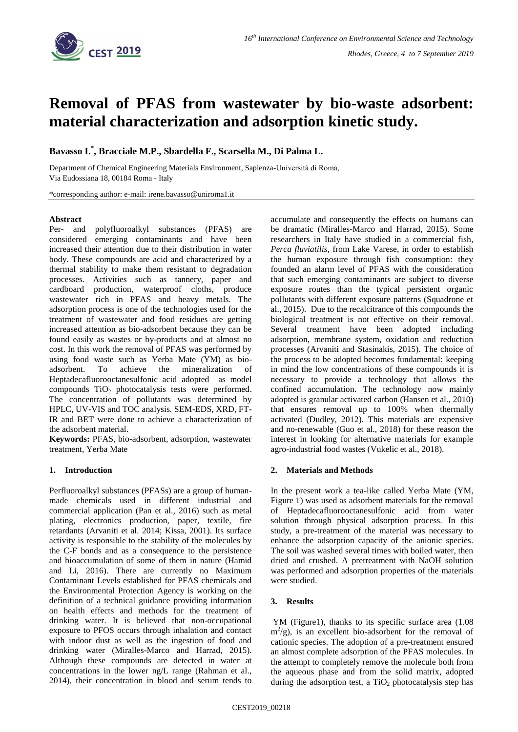

# **Removal of PFAS from wastewater by bio-waste adsorbent: material characterization and adsorption kinetic study.**

**Bavasso I. \* , Bracciale M.P., Sbardella F., Scarsella M., Di Palma L.**

Department of Chemical Engineering Materials Environment, Sapienza-Università di Roma, Via Eudossiana 18, 00184 Roma - Italy

\*corresponding author: e-mail: irene.bavasso@uniroma1.it

#### **Abstract**

Per- and polyfluoroalkyl substances (PFAS) are considered emerging contaminants and have been increased their attention due to their distribution in water body. These compounds are acid and characterized by a thermal stability to make them resistant to degradation processes. Activities such as tannery, paper and cardboard production, waterproof cloths, produce wastewater rich in PFAS and heavy metals. The adsorption process is one of the technologies used for the treatment of wastewater and food residues are getting increased attention as bio-adsorbent because they can be found easily as wastes or by-products and at almost no cost. In this work the removal of PFAS was performed by using food waste such as Yerba Mate (YM) as bioadsorbent. To achieve the mineralization of Heptadecafluorooctanesulfonic acid adopted as model compounds  $TiO<sub>2</sub>$  photocatalysis tests were performed. The concentration of pollutants was determined by HPLC, UV-VIS and TOC analysis. SEM-EDS, XRD, FT-IR and BET were done to achieve a characterization of the adsorbent material.

**Keywords:** PFAS, bio-adsorbent, adsorption, wastewater treatment, Yerba Mate

### **1. Introduction**

Perfluoroalkyl substances (PFASs) are a group of humanmade chemicals used in different industrial and commercial application (Pan et al., 2016) such as metal plating, electronics production, paper, textile, fire retardants (Arvaniti et al. 2014; Kissa, 2001). Its surface activity is responsible to the stability of the molecules by the C-F bonds and as a consequence to the persistence and bioaccumulation of some of them in nature (Hamid and Li, 2016). There are currently no Maximum Contaminant Levels established for PFAS chemicals and the Environmental Protection Agency is working on the definition of a technical guidance providing information on health effects and methods for the treatment of drinking water. It is believed that non-occupational exposure to PFOS occurs through inhalation and contact with indoor dust as well as the ingestion of food and drinking water (Miralles-Marco and Harrad, 2015). Although these compounds are detected in water at concentrations in the lower ng/L range (Rahman et al., 2014), their concentration in blood and serum tends to accumulate and consequently the effects on humans can be dramatic (Miralles-Marco and Harrad, 2015). Some researchers in Italy have studied in a commercial fish, *Perca fluviatilis*, from Lake Varese, in order to establish the human exposure through fish consumption: they founded an alarm level of PFAS with the consideration that such emerging contaminants are subject to diverse exposure routes than the typical persistent organic pollutants with different exposure patterns (Squadrone et al., 2015). Due to the recalcitrance of this compounds the biological treatment is not effective on their removal. Several treatment have been adopted including adsorption, membrane system, oxidation and reduction processes (Arvaniti and Stasinakis, 2015). The choice of the process to be adopted becomes fundamental: keeping in mind the low concentrations of these compounds it is necessary to provide a technology that allows the confined accumulation. The technology now mainly adopted is granular activated carbon (Hansen et al., 2010) that ensures removal up to 100% when thermally activated (Dudley, 2012). This materials are expensive and no-renewable (Guo et al., 2018) for these reason the interest in looking for alternative materials for example agro-industrial food wastes (Vukelic et al., 2018).

### **2. Materials and Methods**

In the present work a tea-like called Yerba Mate (YM, Figure 1) was used as adsorbent materials for the removal of Heptadecafluorooctanesulfonic acid from water solution through physical adsorption process. In this study, a pre-treatment of the material was necessary to enhance the adsorption capacity of the anionic species. The soil was washed several times with boiled water, then dried and crushed. A pretreatment with NaOH solution was performed and adsorption properties of the materials were studied.

## **3. Results**

YM (Figure1), thanks to its specific surface area  $(1.08)$  $m^2$ /g), is an excellent bio-adsorbent for the removal of cationic species. The adoption of a pre-treatment ensured an almost complete adsorption of the PFAS molecules. In the attempt to completely remove the molecule both from the aqueous phase and from the solid matrix, adopted during the adsorption test, a  $TiO<sub>2</sub>$  photocatalysis step has